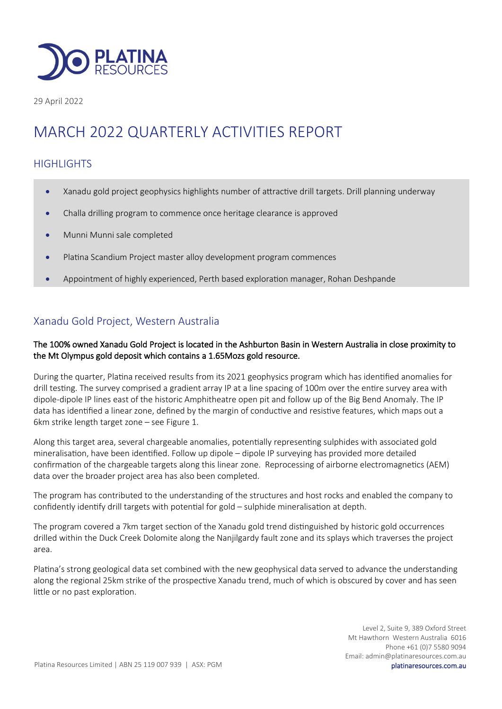

29 April 2022

# MARCH 2022 QUARTERLY ACTIVITIES REPORT

## **HIGHLIGHTS**

- Xanadu gold project geophysics highlights number of attractive drill targets. Drill planning underway
- Challa drilling program to commence once heritage clearance is approved
- Munni Munni sale completed
- Platina Scandium Project master alloy development program commences
- Appointment of highly experienced, Perth based exploration manager, Rohan Deshpande

## Xanadu Gold Project, Western Australia

#### The 100% owned Xanadu Gold Project is located in the Ashburton Basin in Western Australia in close proximity to the Mt Olympus gold deposit which contains a 1.65Mozs gold resource.

During the quarter, Platina received results from its 2021 geophysics program which has identified anomalies for drill testing. The survey comprised a gradient array IP at a line spacing of 100m over the entire survey area with dipole-dipole IP lines east of the historic Amphitheatre open pit and follow up of the Big Bend Anomaly. The IP data has identified a linear zone, defined by the margin of conductive and resistive features, which maps out a 6km strike length target zone – see Figure 1.

Along this target area, several chargeable anomalies, potentially representing sulphides with associated gold mineralisation, have been identified. Follow up dipole – dipole IP surveying has provided more detailed confirmation of the chargeable targets along this linear zone. Reprocessing of airborne electromagnetics (AEM) data over the broader project area has also been completed.

The program has contributed to the understanding of the structures and host rocks and enabled the company to confidently identify drill targets with potential for gold – sulphide mineralisation at depth.

The program covered a 7km target section of the Xanadu gold trend distinguished by historic gold occurrences drilled within the Duck Creek Dolomite along the Nanjilgardy fault zone and its splays which traverses the project area.

Platina's strong geological data set combined with the new geophysical data served to advance the understanding along the regional 25km strike of the prospective Xanadu trend, much of which is obscured by cover and has seen little or no past exploration.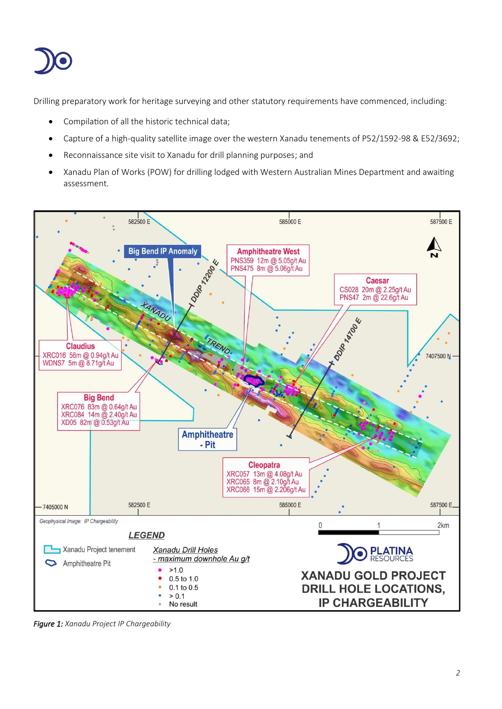

Drilling preparatory work for heritage surveying and other statutory requirements have commenced, including:

- Compilation of all the historic technical data;
- Capture of a high-quality satellite image over the western Xanadu tenements of P52/1592-98 & E52/3692;
- Reconnaissance site visit to Xanadu for drill planning purposes; and
- Xanadu Plan of Works (POW) for drilling lodged with Western Australian Mines Department and awaiting assessment.



*Figure 1: Xanadu Project IP Chargeability*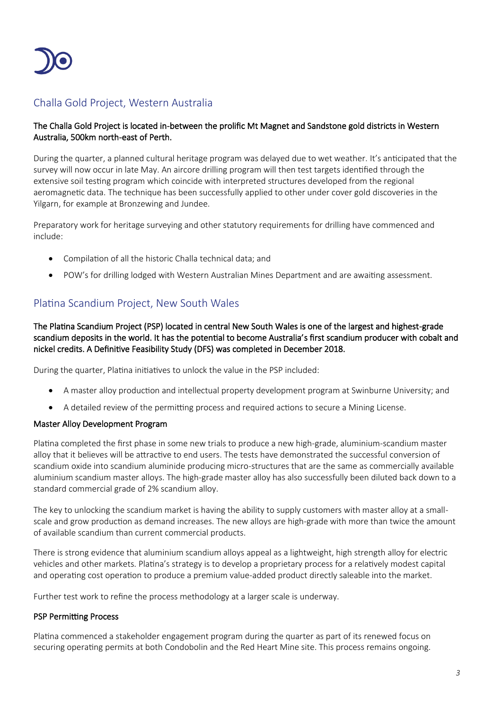

## Challa Gold Project, Western Australia

#### The Challa Gold Project is located in-between the prolific Mt Magnet and Sandstone gold districts in Western Australia, 500km north-east of Perth.

During the quarter, a planned cultural heritage program was delayed due to wet weather. It's anticipated that the survey will now occur in late May. An aircore drilling program will then test targets identified through the extensive soil testing program which coincide with interpreted structures developed from the regional aeromagnetic data. The technique has been successfully applied to other under cover gold discoveries in the Yilgarn, for example at Bronzewing and Jundee.

Preparatory work for heritage surveying and other statutory requirements for drilling have commenced and include:

- Compilation of all the historic Challa technical data; and
- POW's for drilling lodged with Western Australian Mines Department and are awaiting assessment.

## Platina Scandium Project, New South Wales

The Platina Scandium Project (PSP) located in central New South Wales is one of the largest and highest-grade scandium deposits in the world. It has the potential to become Australia's first scandium producer with cobalt and nickel credits. A Definitive Feasibility Study (DFS) was completed in December 2018.

During the quarter, Platina initiatives to unlock the value in the PSP included:

- A master alloy production and intellectual property development program at Swinburne University; and
- A detailed review of the permitting process and required actions to secure a Mining License.

#### Master Alloy Development Program

Platina completed the first phase in some new trials to produce a new high-grade, aluminium-scandium master alloy that it believes will be attractive to end users. The tests have demonstrated the successful conversion of scandium oxide into scandium aluminide producing micro-structures that are the same as commercially available aluminium scandium master alloys. The high-grade master alloy has also successfully been diluted back down to a standard commercial grade of 2% scandium alloy.

The key to unlocking the scandium market is having the ability to supply customers with master alloy at a smallscale and grow production as demand increases. The new alloys are high-grade with more than twice the amount of available scandium than current commercial products.

There is strong evidence that aluminium scandium alloys appeal as a lightweight, high strength alloy for electric vehicles and other markets. Platina's strategy is to develop a proprietary process for a relatively modest capital and operating cost operation to produce a premium value-added product directly saleable into the market.

Further test work to refine the process methodology at a larger scale is underway.

#### PSP Permitting Process

Platina commenced a stakeholder engagement program during the quarter as part of its renewed focus on securing operating permits at both Condobolin and the Red Heart Mine site. This process remains ongoing.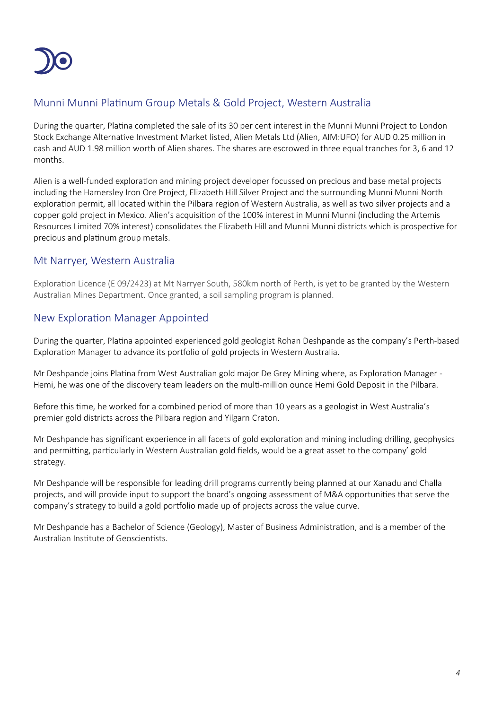

## Munni Munni Platinum Group Metals & Gold Project, Western Australia

During the quarter, Platina completed the sale of its 30 per cent interest in the Munni Munni Project to London Stock Exchange Alternative Investment Market listed, Alien Metals Ltd (Alien, AIM:UFO) for AUD 0.25 million in cash and AUD 1.98 million worth of Alien shares. The shares are escrowed in three equal tranches for 3, 6 and 12 months.

Alien is a well-funded exploration and mining project developer focussed on precious and base metal projects including the Hamersley Iron Ore Project, Elizabeth Hill Silver Project and the surrounding Munni Munni North exploration permit, all located within the Pilbara region of Western Australia, as well as two silver projects and a copper gold project in Mexico. Alien's acquisition of the 100% interest in Munni Munni (including the Artemis Resources Limited 70% interest) consolidates the Elizabeth Hill and Munni Munni districts which is prospective for precious and platinum group metals.

## Mt Narryer, Western Australia

Exploration Licence (E 09/2423) at Mt Narryer South, 580km north of Perth, is yet to be granted by the Western Australian Mines Department. Once granted, a soil sampling program is planned.

## New Exploration Manager Appointed

During the quarter, Platina appointed experienced gold geologist Rohan Deshpande as the company's Perth-based Exploration Manager to advance its portfolio of gold projects in Western Australia.

Mr Deshpande joins Platina from West Australian gold major De Grey Mining where, as Exploration Manager - Hemi, he was one of the discovery team leaders on the multi-million ounce Hemi Gold Deposit in the Pilbara.

Before this time, he worked for a combined period of more than 10 years as a geologist in West Australia's premier gold districts across the Pilbara region and Yilgarn Craton.

Mr Deshpande has significant experience in all facets of gold exploration and mining including drilling, geophysics and permitting, particularly in Western Australian gold fields, would be a great asset to the company' gold strategy.

Mr Deshpande will be responsible for leading drill programs currently being planned at our Xanadu and Challa projects, and will provide input to support the board's ongoing assessment of M&A opportunities that serve the company's strategy to build a gold portfolio made up of projects across the value curve.

Mr Deshpande has a Bachelor of Science (Geology), Master of Business Administration, and is a member of the Australian Institute of Geoscientists.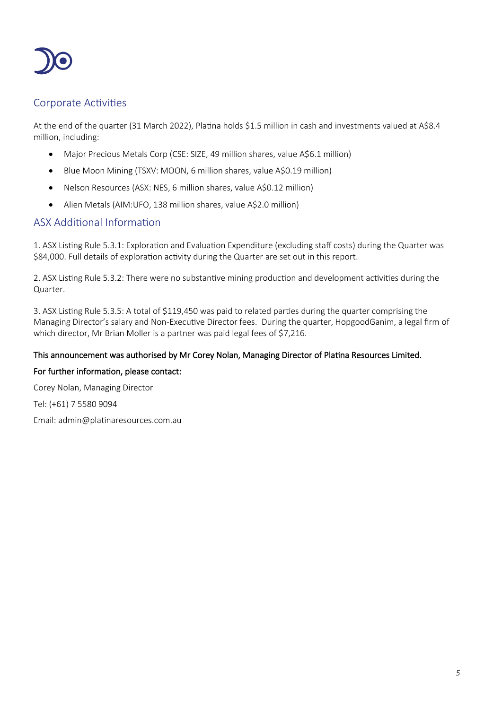

## Corporate Activities

At the end of the quarter (31 March 2022), Platina holds \$1.5 million in cash and investments valued at A\$8.4 million, including:

- Major Precious Metals Corp (CSE: SIZE, 49 million shares, value A\$6.1 million)
- Blue Moon Mining (TSXV: MOON, 6 million shares, value A\$0.19 million)
- Nelson Resources (ASX: NES, 6 million shares, value A\$0.12 million)
- Alien Metals (AIM:UFO, 138 million shares, value A\$2.0 million)

## ASX Additional Information

1. ASX Listing Rule 5.3.1: Exploration and Evaluation Expenditure (excluding staff costs) during the Quarter was \$84,000. Full details of exploration activity during the Quarter are set out in this report.

2. ASX Listing Rule 5.3.2: There were no substantive mining production and development activities during the Quarter.

3. ASX Listing Rule 5.3.5: A total of \$119,450 was paid to related parties during the quarter comprising the Managing Director's salary and Non-Executive Director fees. During the quarter, HopgoodGanim, a legal firm of which director, Mr Brian Moller is a partner was paid legal fees of \$7,216.

### This announcement was authorised by Mr Corey Nolan, Managing Director of Platina Resources Limited.

#### For further information, please contact:

Corey Nolan, Managing Director

Tel: (+61) 7 5580 9094

Email: admin@platinaresources.com.au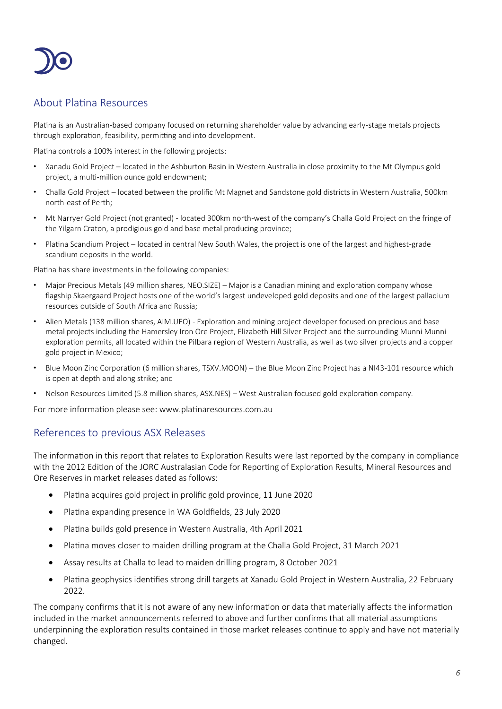

## About Platina Resources

Platina is an Australian-based company focused on returning shareholder value by advancing early-stage metals projects through exploration, feasibility, permitting and into development.

Platina controls a 100% interest in the following projects:

- Xanadu Gold Project located in the Ashburton Basin in Western Australia in close proximity to the Mt Olympus gold project, a multi-million ounce gold endowment;
- Challa Gold Project located between the prolific Mt Magnet and Sandstone gold districts in Western Australia, 500km north-east of Perth;
- Mt Narryer Gold Project (not granted) located 300km north-west of the company's Challa Gold Project on the fringe of the Yilgarn Craton, a prodigious gold and base metal producing province;
- Platina Scandium Project located in central New South Wales, the project is one of the largest and highest-grade scandium deposits in the world.

Platina has share investments in the following companies:

- Major Precious Metals (49 million shares, NEO.SIZE) Major is a Canadian mining and exploration company whose flagship Skaergaard Project hosts one of the world's largest undeveloped gold deposits and one of the largest palladium resources outside of South Africa and Russia;
- Alien Metals (138 million shares, AIM.UFO) Exploration and mining project developer focused on precious and base metal projects including the Hamersley Iron Ore Project, Elizabeth Hill Silver Project and the surrounding Munni Munni exploration permits, all located within the Pilbara region of Western Australia, as well as two silver projects and a copper gold project in Mexico;
- Blue Moon Zinc Corporation (6 million shares, TSXV.MOON) the Blue Moon Zinc Project has a NI43-101 resource which is open at depth and along strike; and
- Nelson Resources Limited (5.8 million shares, ASX.NES) West Australian focused gold exploration company.

For more information please see: www.platinaresources.com.au

## References to previous ASX Releases

The information in this report that relates to Exploration Results were last reported by the company in compliance with the 2012 Edition of the JORC Australasian Code for Reporting of Exploration Results, Mineral Resources and Ore Reserves in market releases dated as follows:

- Platina acquires gold project in prolific gold province, 11 June 2020
- Platina expanding presence in WA Goldfields, 23 July 2020
- Platina builds gold presence in Western Australia, 4th April 2021
- Platina moves closer to maiden drilling program at the Challa Gold Project, 31 March 2021
- Assay results at Challa to lead to maiden drilling program, 8 October 2021
- Platina geophysics identifies strong drill targets at Xanadu Gold Project in Western Australia, 22 February 2022.

The company confirms that it is not aware of any new information or data that materially affects the information included in the market announcements referred to above and further confirms that all material assumptions underpinning the exploration results contained in those market releases continue to apply and have not materially changed.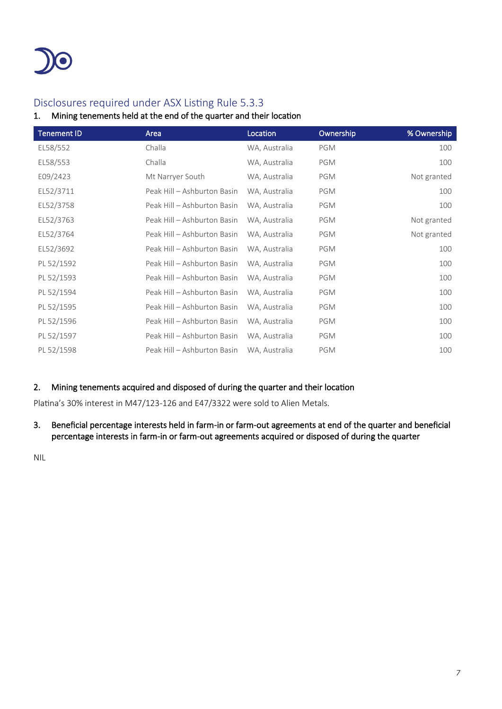

## Disclosures required under ASX Listing Rule 5.3.3

### 1. Mining tenements held at the end of the quarter and their location

| <b>Tenement ID</b> | Area                        | Location      | Ownership  | % Ownership |
|--------------------|-----------------------------|---------------|------------|-------------|
| EL58/552           | Challa                      | WA, Australia | PGM        | 100         |
| EL58/553           | Challa                      | WA, Australia | <b>PGM</b> | 100         |
| E09/2423           | Mt Narryer South            | WA, Australia | PGM        | Not granted |
| EL52/3711          | Peak Hill - Ashburton Basin | WA, Australia | PGM        | 100         |
| EL52/3758          | Peak Hill - Ashburton Basin | WA, Australia | PGM        | 100         |
| EL52/3763          | Peak Hill - Ashburton Basin | WA, Australia | PGM        | Not granted |
| EL52/3764          | Peak Hill - Ashburton Basin | WA, Australia | PGM        | Not granted |
| EL52/3692          | Peak Hill - Ashburton Basin | WA, Australia | PGM        | 100         |
| PL 52/1592         | Peak Hill - Ashburton Basin | WA, Australia | PGM        | 100         |
| PL 52/1593         | Peak Hill - Ashburton Basin | WA, Australia | PGM        | 100         |
| PL 52/1594         | Peak Hill - Ashburton Basin | WA, Australia | PGM        | 100         |
| PL 52/1595         | Peak Hill - Ashburton Basin | WA, Australia | PGM        | 100         |
| PL 52/1596         | Peak Hill - Ashburton Basin | WA, Australia | PGM        | 100         |
| PL 52/1597         | Peak Hill - Ashburton Basin | WA, Australia | PGM        | 100         |
| PL 52/1598         | Peak Hill - Ashburton Basin | WA, Australia | PGM        | 100         |

#### 2. Mining tenements acquired and disposed of during the quarter and their location

Platina's 30% interest in M47/123-126 and E47/3322 were sold to Alien Metals.

#### 3. Beneficial percentage interests held in farm-in or farm-out agreements at end of the quarter and beneficial percentage interests in farm-in or farm-out agreements acquired or disposed of during the quarter

NIL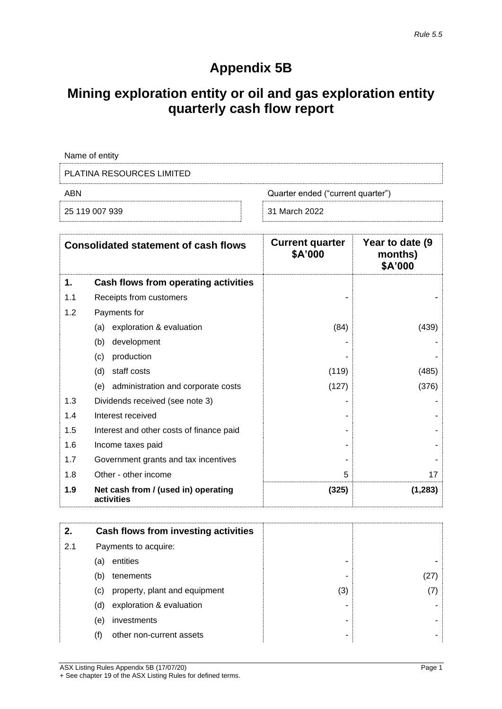# **Appendix 5B**

# **Mining exploration entity or oil and gas exploration entity quarterly cash flow report**

| Name of entity                           |               |  |
|------------------------------------------|---------------|--|
| PLATINA RESOURCES LIMITED                |               |  |
| Quarter ended ("current quarter")<br>ABN |               |  |
| 25 119 007 939                           | 31 March 2022 |  |

|     | <b>Consolidated statement of cash flows</b>       | <b>Current quarter</b><br>\$A'000 | Year to date (9)<br>months)<br>\$A'000 |
|-----|---------------------------------------------------|-----------------------------------|----------------------------------------|
| 1.  | Cash flows from operating activities              |                                   |                                        |
| 1.1 | Receipts from customers                           |                                   |                                        |
| 1.2 | Payments for                                      |                                   |                                        |
|     | exploration & evaluation<br>(a)                   | (84)                              | (439)                                  |
|     | development<br>(b)                                |                                   |                                        |
|     | production<br>(c)                                 |                                   |                                        |
|     | staff costs<br>(d)                                | (119)                             | (485)                                  |
|     | (e) administration and corporate costs            | (127)                             | (376)                                  |
| 1.3 | Dividends received (see note 3)                   |                                   |                                        |
| 1.4 | Interest received                                 |                                   |                                        |
| 1.5 | Interest and other costs of finance paid          |                                   |                                        |
| 1.6 | Income taxes paid                                 |                                   |                                        |
| 1.7 | Government grants and tax incentives              |                                   |                                        |
| 1.8 | Other - other income                              | 5                                 | 17                                     |
| 1.9 | Net cash from / (used in) operating<br>activities | (325)                             | (1, 283)                               |

| 2.  |     | Cash flows from investing activities |     |     |
|-----|-----|--------------------------------------|-----|-----|
| 2.1 |     | Payments to acquire:                 |     |     |
|     | (a) | entities                             | -   |     |
|     | (b) | tenements                            | -   | 27) |
|     | (C) | property, plant and equipment        | (3) |     |
|     | (d) | exploration & evaluation             |     |     |
|     | (e) | investments                          | ۰   |     |
|     | (f) | other non-current assets             |     |     |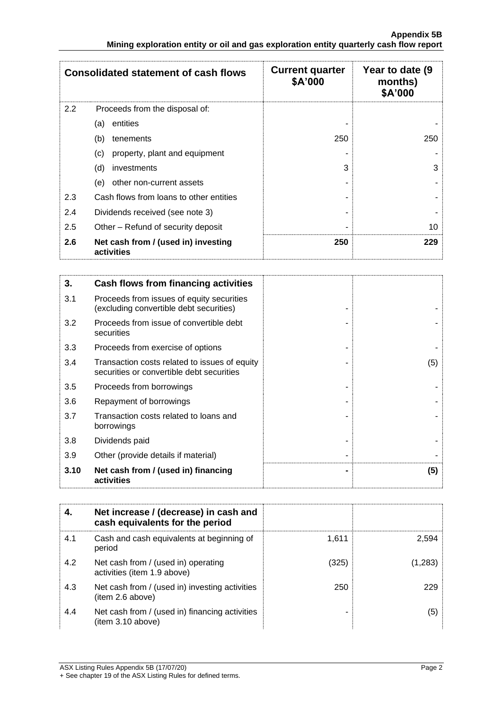|     | <b>Consolidated statement of cash flows</b>       | <b>Current quarter</b><br>\$A'000 | Year to date (9)<br>months)<br>\$A'000 |
|-----|---------------------------------------------------|-----------------------------------|----------------------------------------|
| 2.2 | Proceeds from the disposal of:                    |                                   |                                        |
|     | entities<br>(a)                                   |                                   |                                        |
|     | (b)<br>tenements                                  | 250                               | 250                                    |
|     | (c)<br>property, plant and equipment              |                                   |                                        |
|     | (d)<br>investments                                | 3                                 | 3                                      |
|     | other non-current assets<br>(e)                   |                                   |                                        |
| 2.3 | Cash flows from loans to other entities           |                                   |                                        |
| 2.4 | Dividends received (see note 3)                   |                                   |                                        |
| 2.5 | Other – Refund of security deposit                |                                   | 10                                     |
| 2.6 | Net cash from / (used in) investing<br>activities | 250                               | 229                                    |

| 3.   | Cash flows from financing activities                                                       |     |
|------|--------------------------------------------------------------------------------------------|-----|
| 3.1  | Proceeds from issues of equity securities<br>(excluding convertible debt securities)       |     |
| 3.2  | Proceeds from issue of convertible debt<br>securities                                      |     |
| 3.3  | Proceeds from exercise of options                                                          |     |
| 3.4  | Transaction costs related to issues of equity<br>securities or convertible debt securities | (5) |
| 3.5  | Proceeds from borrowings                                                                   |     |
| 3.6  | Repayment of borrowings                                                                    |     |
| 3.7  | Transaction costs related to loans and<br>borrowings                                       |     |
| 3.8  | Dividends paid                                                                             |     |
| 3.9  | Other (provide details if material)                                                        |     |
| 3.10 | Net cash from / (used in) financing<br>activities                                          | (5) |

|     | Net increase / (decrease) in cash and<br>cash equivalents for the period |       |         |
|-----|--------------------------------------------------------------------------|-------|---------|
| 4.1 | Cash and cash equivalents at beginning of<br>period                      | 1.611 | 2.594   |
| 4.2 | Net cash from / (used in) operating<br>activities (item 1.9 above)       | (325) | (1,283) |
| 4.3 | Net cash from / (used in) investing activities<br>(item 2.6 above)       | 250   | 229     |
| 4.4 | Net cash from / (used in) financing activities<br>item 3.10 above)       |       | (5)     |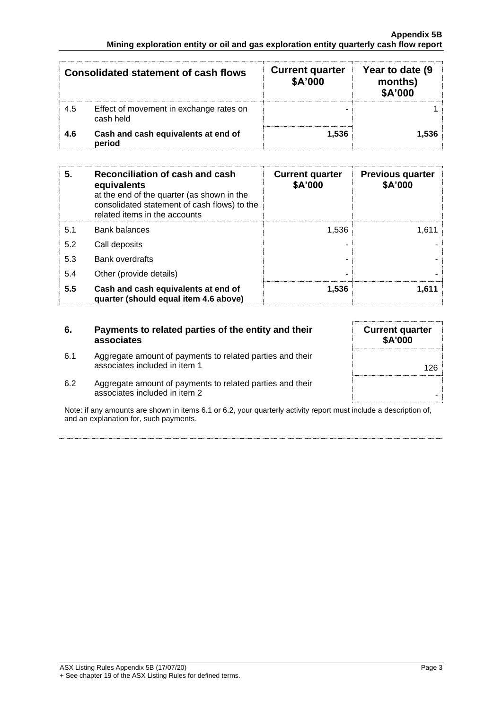|     | <b>Consolidated statement of cash flows</b>          | <b>Current quarter</b><br>\$A'000 | Year to date (9)<br>months)<br>\$A'000 |
|-----|------------------------------------------------------|-----------------------------------|----------------------------------------|
| 4.5 | Effect of movement in exchange rates on<br>cash held | -                                 |                                        |
| 4.6 | Cash and cash equivalents at end of<br>period        | 1.536                             | 1.536                                  |

| 5.  | Reconciliation of cash and cash<br>equivalents<br>at the end of the quarter (as shown in the<br>consolidated statement of cash flows) to the<br>related items in the accounts | <b>Current quarter</b><br>\$A'000 | <b>Previous quarter</b><br>\$A'000 |
|-----|-------------------------------------------------------------------------------------------------------------------------------------------------------------------------------|-----------------------------------|------------------------------------|
| 5.1 | <b>Bank balances</b>                                                                                                                                                          | 1.536                             | 1.611                              |
| 5.2 | Call deposits                                                                                                                                                                 |                                   |                                    |
| 5.3 | <b>Bank overdrafts</b>                                                                                                                                                        |                                   |                                    |
| 5.4 | Other (provide details)                                                                                                                                                       | -                                 |                                    |
| 5.5 | Cash and cash equivalents at end of<br>quarter (should equal item 4.6 above)                                                                                                  | 1.536                             | 1.611                              |

| 6.  | Payments to related parties of the entity and their<br>associates                          | <b>Current quarter</b><br><b>\$A'000</b> |
|-----|--------------------------------------------------------------------------------------------|------------------------------------------|
| 6.1 | Aggregate amount of payments to related parties and their<br>associates included in item 1 | 126                                      |
| 6.2 | Aggregate amount of payments to related parties and their<br>associates included in item 2 |                                          |

Note: if any amounts are shown in items 6.1 or 6.2, your quarterly activity report must include a description of, and an explanation for, such payments.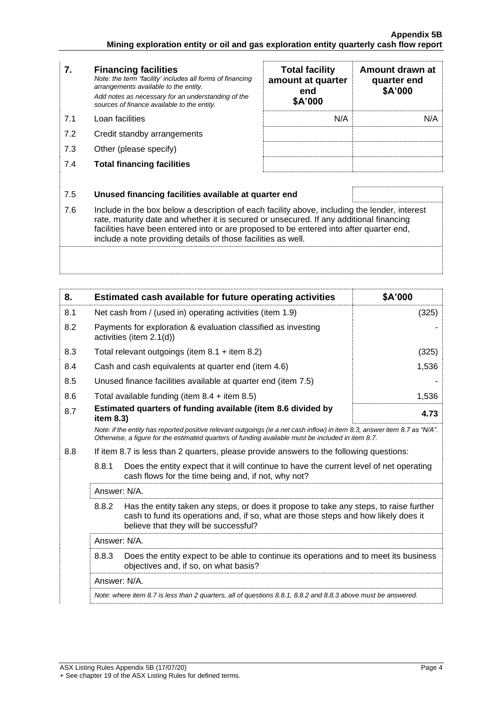| 7.         | <b>Financing facilities</b><br>Note: the term "facility' includes all forms of financing<br>arrangements available to the entity.<br>Add notes as necessary for an understanding of the<br>sources of finance available to the entity.           | <b>Total facility</b><br>amount at quarter<br>end<br>\$A'000 | Amount drawn at<br>quarter end<br>\$A'000 |
|------------|--------------------------------------------------------------------------------------------------------------------------------------------------------------------------------------------------------------------------------------------------|--------------------------------------------------------------|-------------------------------------------|
| 7.1        | Loan facilities                                                                                                                                                                                                                                  | N/A                                                          | N/A                                       |
| 7.2        | Credit standby arrangements                                                                                                                                                                                                                      |                                                              |                                           |
| 7.3        | Other (please specify)                                                                                                                                                                                                                           |                                                              |                                           |
| 7.4        | <b>Total financing facilities</b>                                                                                                                                                                                                                |                                                              |                                           |
| 7.5<br>7.6 | Unused financing facilities available at quarter end<br>Include in the box below a description of each facility above, including the lender, interest<br>rate, maturity date and whether it is secured or unsecured. If any additional financing |                                                              |                                           |
|            | facilities have been entered into or are proposed to be entered into after quarter end,<br>include a note providing details of those facilities as well.                                                                                         |                                                              |                                           |

| 8.  | Estimated cash available for future operating activities                                                                                                                                                                        | \$A'000 |  |
|-----|---------------------------------------------------------------------------------------------------------------------------------------------------------------------------------------------------------------------------------|---------|--|
| 8.1 | Net cash from / (used in) operating activities (item 1.9)                                                                                                                                                                       | (325)   |  |
| 8.2 | Payments for exploration & evaluation classified as investing<br>activities (item 2.1(d))                                                                                                                                       |         |  |
| 8.3 | Total relevant outgoings (item $8.1 +$ item $8.2$ )                                                                                                                                                                             | (325)   |  |
| 8.4 | Cash and cash equivalents at quarter end (item 4.6)                                                                                                                                                                             | 1,536   |  |
| 8.5 | Unused finance facilities available at quarter end (item 7.5)                                                                                                                                                                   |         |  |
| 8.6 | Total available funding (item $8.4 +$ item $8.5$ )                                                                                                                                                                              | 1,536   |  |
| 8.7 | Estimated quarters of funding available (item 8.6 divided by<br>item 8.3)                                                                                                                                                       | 4.73    |  |
|     | Note: if the entity has reported positive relevant outgoings (ie a net cash inflow) in item 8.3, answer item 8.7 as "N/A".<br>Otherwise, a figure for the estimated quarters of funding available must be included in item 8.7. |         |  |
| 8.8 | If item 8.7 is less than 2 quarters, please provide answers to the following questions:                                                                                                                                         |         |  |
|     | 8.8.1<br>Does the entity expect that it will continue to have the current level of net operating<br>cash flows for the time being and, if not, why not?                                                                         |         |  |
|     | Answer: N/A.                                                                                                                                                                                                                    |         |  |
|     | 8.8.2<br>Has the entity taken any steps, or does it propose to take any steps, to raise further<br>cash to fund its operations and, if so, what are those steps and how likely does it<br>believe that they will be successful? |         |  |
|     | Answer: N/A.                                                                                                                                                                                                                    |         |  |
|     | 8.8.3<br>Does the entity expect to be able to continue its operations and to meet its business<br>objectives and, if so, on what basis?                                                                                         |         |  |
|     | Answer: N/A.                                                                                                                                                                                                                    |         |  |
|     | Note: where item 8.7 is less than 2 quarters, all of questions 8.8.1, 8.8.2 and 8.8.3 above must be answered.                                                                                                                   |         |  |
|     |                                                                                                                                                                                                                                 |         |  |